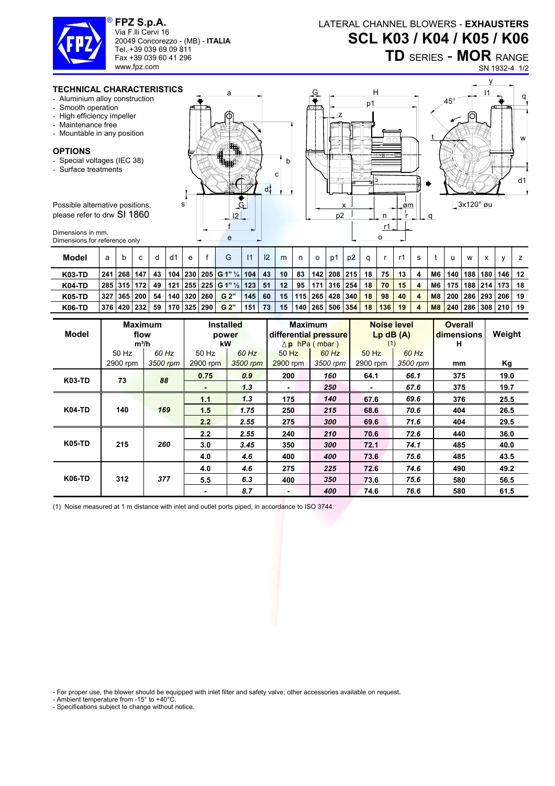

**FPZ S.p.A.**  Via F.lli Cervi 16 20049 Concorezzo - (MB) - **ITALIA** Tel. +39 039 69 09 811 Fax +39 039 60 41 296 www.fpz.com

LATERAL CHANNEL BLOWERS - **EXHAUSTERS SCL K03 / K04 / K05 / K06**

**TD** SERIES - **MOR** RANGE

SN 1932-4 1/2

## **TECHNICAL CHARACTERIS**

- Aluminium alloy construction
- Smooth operation
- High efficiency impeller
- Maintenance free
- Mountable in any position

## **OPTIONS**

- Special voltages (IEC 38)
- Surface treatments

Possible alternative positions, please refer to drw SI 1860

Dimensions in mm. Dimensions for reference only

|  | p1<br>حبيب<br>ш.<br>ο<br>U<br>ŒΠ<br>т<br><b>HHH</b><br>誑<br>⊤——<br><br>₽<br>正<br>56<br>b<br>٣<br>с<br>G<br>o<br>ক<br>ক<br>99<br>d<br>s<br>x<br>øm<br>л<br>p2<br>12<br>n<br>r1<br>e<br>ο |
|--|-----------------------------------------------------------------------------------------------------------------------------------------------------------------------------------------|
|--|-----------------------------------------------------------------------------------------------------------------------------------------------------------------------------------------|



| Model         | a               |         | C |     | d1 | e           | G                                          |     | $\mathsf{I}2$ | m  | n  | $\circ$ | p1 | p2                    |    |     |    |                |           |     | W   | v                    |  |
|---------------|-----------------|---------|---|-----|----|-------------|--------------------------------------------|-----|---------------|----|----|---------|----|-----------------------|----|-----|----|----------------|-----------|-----|-----|----------------------|--|
| <b>K03-TD</b> | 241             | 268 147 |   | 43  |    |             | 104   230   205   G 1" ¼   104             |     | 43            | 10 | 83 |         |    | 142   208   215       | 18 | 75  | 13 | 4              | M6        | 140 | 188 | 180   146   12       |  |
| <b>K04-TD</b> | 285   315   172 |         |   | 49  |    |             | $121   255   225  $ G 1" $\frac{1}{2}$ 123 |     | 51            | 12 | 95 |         |    | 171   316   254       | 18 | 70  | 15 | $\overline{a}$ | M6        | 175 |     | 188   214   173   18 |  |
| <b>K05-TD</b> | 327             | 365 200 |   | 54  |    | 140 320 260 | G 2"                                       | 145 | 60            | 15 |    |         |    | 115   265   428   340 | 18 | 98  | 40 | 4              | <b>M8</b> | 200 |     | 286   293   206   19 |  |
| <b>K06-TD</b> | 376 420 232     |         |   | -59 |    | 170 325 290 | G <sup>2</sup>                             | 151 | 73            | 15 |    |         |    | 140   265   506   354 | 18 | 136 | 19 | $\overline{4}$ | M8        | 240 |     | 286   308   210   19 |  |

| Model         | <b>Maximum</b><br>flow<br>$m^3/h$ |          | <b>Installed</b><br>power<br>kW |          | <b>Maximum</b><br>differential pressure | $\Delta$ p hPa (mbar) | <b>Noise level</b><br>$Lp$ dB $(A)$<br>(1) |          | <b>Overall</b><br>dimensions<br>н | Weight |
|---------------|-----------------------------------|----------|---------------------------------|----------|-----------------------------------------|-----------------------|--------------------------------------------|----------|-----------------------------------|--------|
|               | 50 Hz                             | 60 Hz    | 50 Hz                           | 60 Hz    | 50 Hz                                   | 60 Hz                 | 50 Hz                                      | 60 Hz    |                                   |        |
|               | 2900 rpm                          | 3500 rpm | 2900 rpm                        | 3500 rpm | 2900 rpm                                | 3500 rpm              | 2900 rpm                                   | 3500 rpm | mm                                | Кg     |
| <b>K03-TD</b> | 73                                | 88       | 0.75                            | 0.9      | 200                                     | 160                   | 64.1                                       | 66.1     | 375                               | 19.0   |
|               |                                   |          | ٠                               | 1.3      | ٠                                       | 250                   | ٠                                          | 67.6     | 375                               | 19.7   |
|               |                                   |          | 1.1                             | 1.3      | 175                                     | 140                   | 67.6                                       | 69.6     | 376                               | 25.5   |
| <b>K04-TD</b> | 140                               | 169      | 1.5                             | 1.75     | 250                                     | 215                   | 68.6                                       | 70.6     | 404                               | 26.5   |
|               |                                   |          | 2.2                             | 2.55     | 275                                     | 300                   | 69.6                                       | 71.6     | 404                               | 29.5   |
|               |                                   |          | 2.2                             | 2.55     | 240                                     | 210                   | 70.6                                       | 72.6     | 440                               | 36.0   |
| <b>K05-TD</b> | 215                               | 260      | 3.0                             | 3.45     | 350                                     | 300                   | 72.1                                       | 74.1     | 485                               | 40.0   |
|               |                                   |          | 4.0                             | 4.6      | 400                                     | 400                   | 73.6                                       | 75.6     | 485                               | 43.5   |
| <b>K06-TD</b> |                                   |          | 4.0                             | 4.6      | 275                                     | 225                   | 72.6                                       | 74.6     | 490                               | 49.2   |
|               | 312                               | 377      | 5.5                             | 6.3      | 400                                     | 350                   | 73.6                                       | 75.6     | 580                               | 56.5   |
|               |                                   |          | ۰                               | 8.7      | ۰                                       | 400                   | 74.6                                       | 76.6     | 580                               | 61.5   |

(1) Noise measured at 1 m distance with inlet and outlet ports piped, in accordance to ISO 3744.

- For proper use, the blower should be equipped with inlet filter and safety valve; other accessories available on request.

- Ambient temperature from -15° to +40°C.
- Specifications subject to change without notice.